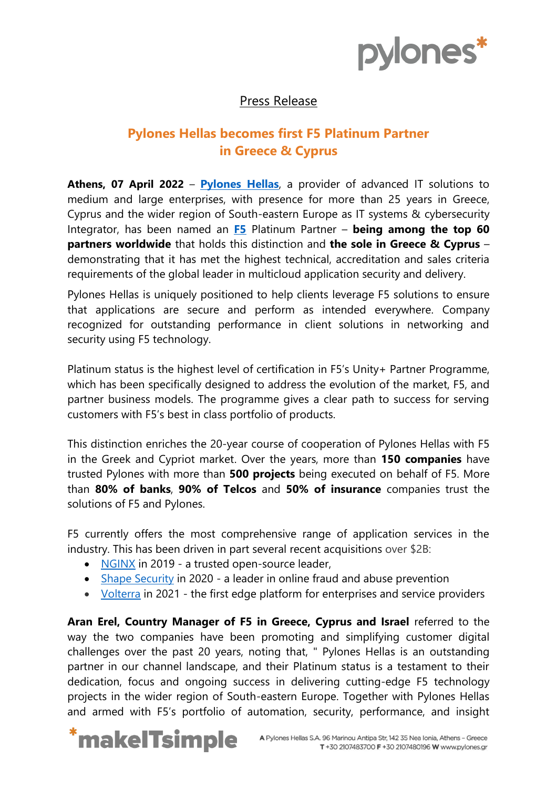

## Press Release

# **Pylones Hellas becomes first F5 Platinum Partner in Greece & Cyprus**

**Athens, 07 April 2022** – **[Pylones](https://www.pylones.gr/) Hellas**, a provider of advanced IT solutions to medium and large enterprises, with presence for more than 25 years in Greece, Cyprus and the wider region of South-eastern Europe as IT systems & cybersecurity Integrator, has been named an **[F5](https://www.f5.com/)** Platinum Partner – **being among the top 60 partners worldwide** that holds this distinction and **the sole in Greece & Cyprus** – demonstrating that it has met the highest technical, accreditation and sales criteria requirements of the global leader in multicloud application security and delivery.

Pylones Hellas is uniquely positioned to help clients leverage F5 solutions to ensure that applications are secure and perform as intended everywhere. Company recognized for outstanding performance in client solutions in networking and security using F5 technology.

Platinum status is the highest level of certification in F5's Unity+ Partner Programme, which has been specifically designed to address the evolution of the market, F5, and partner business models. The programme gives a clear path to success for serving customers with F5's best in class portfolio of products.

This distinction enriches the 20-year course of cooperation of Pylones Hellas with F5 in the Greek and Cypriot market. Over the years, more than **150 companies** have trusted Pylones with more than **500 projects** being executed on behalf of F5. More than **80% of banks**, **90% of Telcos** and **50% of insurance** companies trust the solutions of F5 and Pylones.

F5 currently offers the most comprehensive range of application services in the industry. This has been driven in part several recent acquisitions over \$2B:

- [NGINX](https://www.f5.com/products/nginx) in 2019 a trusted open-source leader,
- [Shape Security](https://www.f5.com/products/security/shape-security) in 2020 a leader in online fraud and abuse prevention
- [Volterra](https://www.f5.com/solutions/multi-cloud-policy-management/volterra-multi-cloud-networking) in 2021 the first edge platform for enterprises and service providers

**Aran Erel, Country Manager of F5 in Greece, Cyprus and Israel** referred to the way the two companies have been promoting and simplifying customer digital challenges over the past 20 years, noting that, " Pylones Hellas is an outstanding partner in our channel landscape, and their Platinum status is a testament to their dedication, focus and ongoing success in delivering cutting-edge F5 technology projects in the wider region of South-eastern Europe. Together with Pylones Hellas and armed with F5's portfolio of automation, security, performance, and insight

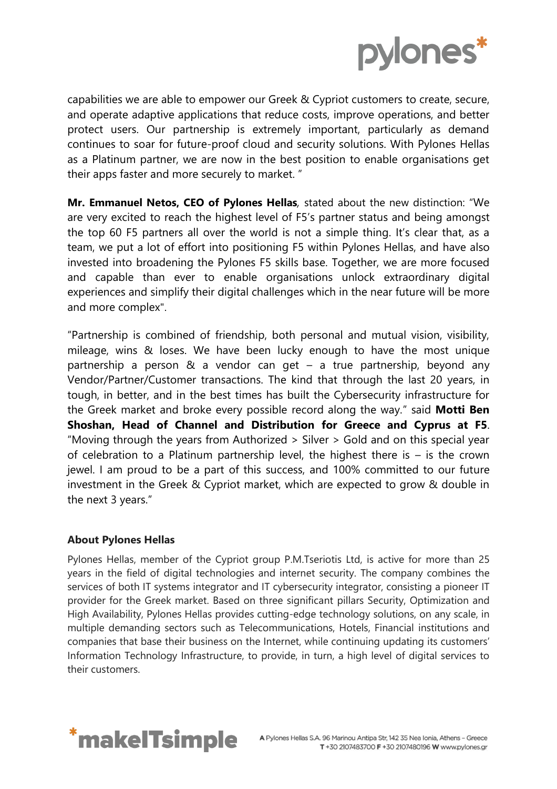

capabilities we are able to empower our Greek & Cypriot customers to create, secure, and operate adaptive applications that reduce costs, improve operations, and better protect users. Our partnership is extremely important, particularly as demand continues to soar for future-proof cloud and security solutions. With Pylones Hellas as a Platinum partner, we are now in the best position to enable organisations get their apps faster and more securely to market. "

**Mr. Emmanuel Netos, CEO of Pylones Hellas***,* stated about the new distinction: "We are very excited to reach the highest level of F5's partner status and being amongst the top 60 F5 partners all over the world is not a simple thing. It's clear that, as a team, we put a lot of effort into positioning F5 within Pylones Hellas, and have also invested into broadening the Pylones F5 skills base. Together, we are more focused and capable than ever to enable organisations unlock extraordinary digital experiences and simplify their digital challenges which in the near future will be more and more complex".

"Partnership is combined of friendship, both personal and mutual vision, visibility, mileage, wins & loses. We have been lucky enough to have the most unique partnership a person & a vendor can get – a true partnership, beyond any Vendor/Partner/Customer transactions. The kind that through the last 20 years, in tough, in better, and in the best times has built the Cybersecurity infrastructure for the Greek market and broke every possible record along the way." said **Motti Ben Shoshan, Head of Channel and Distribution for Greece and Cyprus at F5**. "Moving through the years from Authorized > Silver > Gold and on this special year of celebration to a Platinum partnership level, the highest there is – is the crown jewel. I am proud to be a part of this success, and 100% committed to our future investment in the Greek & Cypriot market, which are expected to grow & double in the next 3 years."

### **About Pylones Hellas**

Pylones Hellas, member of the Cypriot group P.M.Tseriotis Ltd, is active for more than 25 years in the field of digital technologies and internet security. The company combines the services of both IT systems integrator and IT cybersecurity integrator, consisting a pioneer IT provider for the Greek market. Based on three significant pillars Security, Optimization and High Availability, Pylones Hellas provides cutting-edge technology solutions, on any scale, in multiple demanding sectors such as Telecommunications, Hotels, Financial institutions and companies that base their business on the Internet, while continuing updating its customers' Information Technology Infrastructure, to provide, in turn, a high level of digital services to their customers.